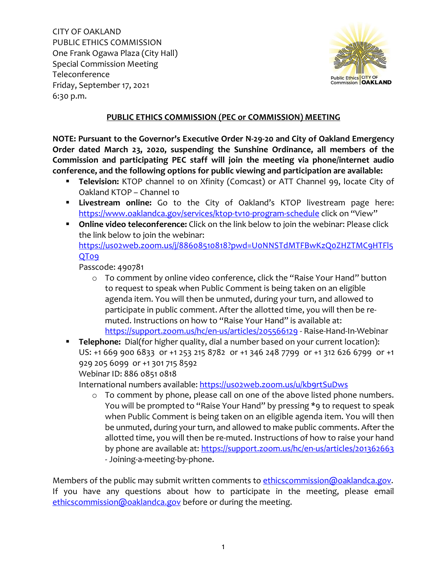

## **PUBLIC ETHICS COMMISSION (PEC or COMMISSION) MEETING**

**NOTE: Pursuant to the Governor's Executive Order N-29-20 and City of Oakland Emergency Order dated March 23, 2020, suspending the Sunshine Ordinance, all members of the Commission and participating PEC staff will join the meeting via phone/internet audio conference, and the following options for public viewing and participation are available:**

- **Television:** KTOP channel 10 on Xfinity (Comcast) or ATT Channel 99, locate City of Oakland KTOP – Channel 10
- **Livestream online:** Go to the City of Oakland's KTOP livestream page here: <https://www.oaklandca.gov/services/ktop-tv10-program-schedule> click on "View"
- **Online video teleconference:** Click on the link below to join the webinar: Please click the link below to join the webinar: [https://us02web.zoom.us/j/88608510818?pwd=U0NNSTdMTFBwKzQ0ZHZTMC9HTFl5](https://us02web.zoom.us/j/88608510818?pwd=U0NNSTdMTFBwKzQ0ZHZTMC9HTFl5QT09) [QT09](https://us02web.zoom.us/j/88608510818?pwd=U0NNSTdMTFBwKzQ0ZHZTMC9HTFl5QT09)

Passcode: 490781

- o To comment by online video conference, click the "Raise Your Hand" button to request to speak when Public Comment is being taken on an eligible agenda item. You will then be unmuted, during your turn, and allowed to participate in public comment. After the allotted time, you will then be remuted. Instructions on how to "Raise Your Hand" is available at: <https://support.zoom.us/hc/en-us/articles/205566129> - Raise-Hand-In-Webinar
- **Telephone:** Dial(for higher quality, dial a number based on your current location): US: +1 669 900 6833 or +1 253 215 8782 or +1 346 248 7799 or +1 312 626 6799 or +1 929 205 6099 or +1 301 715 8592 Webinar ID: 886 0851 0818

International numbers available: https://uso2web.zoom.us/u/kb9rtSuDws

o To comment by phone, please call on one of the above listed phone numbers. You will be prompted to "Raise Your Hand" by pressing \*9 to request to speak when Public Comment is being taken on an eligible agenda item. You will then be unmuted, during your turn, and allowed to make public comments. After the allotted time, you will then be re-muted. Instructions of how to raise your hand by phone are available at:<https://support.zoom.us/hc/en-us/articles/201362663> - Joining-a-meeting-by-phone.

Members of the public may submit written comments to [ethicscommission@oaklandca.gov.](mailto:ethicscommission@oaklandca.gov) If you have any questions about how to participate in the meeting, please email [ethicscommission@oaklandca.gov](mailto:ethicscommission@oaklandca.gov) before or during the meeting.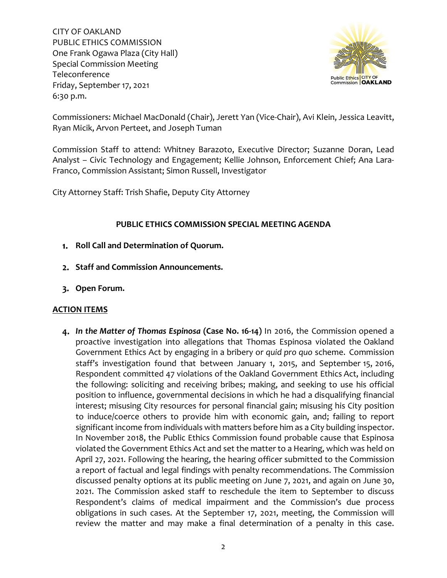

Commissioners: Michael MacDonald (Chair), Jerett Yan (Vice-Chair), Avi Klein, Jessica Leavitt, Ryan Micik, Arvon Perteet, and Joseph Tuman

Commission Staff to attend: Whitney Barazoto, Executive Director; Suzanne Doran, Lead Analyst – Civic Technology and Engagement; Kellie Johnson, Enforcement Chief; Ana Lara-Franco, Commission Assistant; Simon Russell, Investigator

City Attorney Staff: Trish Shafie, Deputy City Attorney

## **PUBLIC ETHICS COMMISSION SPECIAL MEETING AGENDA**

- **Roll Call and Determination of Quorum.**
- **Staff and Commission Announcements.**
- **Open Forum.**

## **ACTION ITEMS**

*In the Matter of Thomas Espinosa* **(Case No. 16-14)** In 2016, the Commission opened a proactive investigation into allegations that Thomas Espinosa violated the Oakland Government Ethics Act by engaging in a bribery or *quid pro quo* scheme. Commission staff's investigation found that between January 1, 2015, and September 15, 2016, Respondent committed 47 violations of the Oakland Government Ethics Act, including the following: soliciting and receiving bribes; making, and seeking to use his official position to influence, governmental decisions in which he had a disqualifying financial interest; misusing City resources for personal financial gain; misusing his City position to induce/coerce others to provide him with economic gain, and; failing to report significant income from individuals with matters before him as a City building inspector. In November 2018, the Public Ethics Commission found probable cause that Espinosa violated the Government Ethics Act and set the matter to a Hearing, which was held on April 27, 2021. Following the hearing, the hearing officer submitted to the Commission a report of factual and legal findings with penalty recommendations. The Commission discussed penalty options at its public meeting on June 7, 2021, and again on June 30, 2021. The Commission asked staff to reschedule the item to September to discuss Respondent's claims of medical impairment and the Commission's due process obligations in such cases. At the September 17, 2021, meeting, the Commission will review the matter and may make a final determination of a penalty in this case.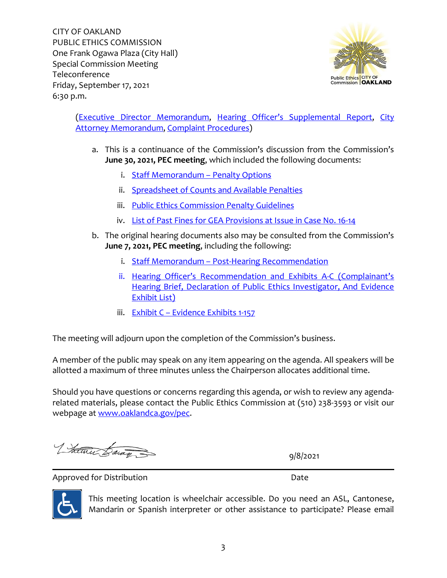

[\(Executive Director](https://cao-94612.s3.amazonaws.com/documents/4-ED-Memorandum.pdf) Memorandum, [Hearing Officer's Supplemental Report,](https://cao-94612.s3.amazonaws.com/documents/4a-Hearing-Officer%E2%80%99s-Supplemental-Report_Redacted_2021-09-08-173640_xnbs.pdf) [City](https://cao-94612.s3.amazonaws.com/documents/4b-City-Attorney-Memorandum.pdf)  [Attorney Memorandum,](https://cao-94612.s3.amazonaws.com/documents/4b-City-Attorney-Memorandum.pdf) [Complaint Procedures\)](https://cao-94612.s3.amazonaws.com/documents/4c-PEC-Complaint-Procedures.pdf)

- a. This is a continuance of the Commission's discussion from the Commission's **June 30, 2021, PEC meeting**, which included the following documents:
	- i. [Staff Memorandum](https://cao-94612.s3.amazonaws.com/documents/i-Staff-Memorandum-and-Penalty-Options.pdf) Penalty Options
	- ii. [Spreadsheet of Counts and Available Penalties](https://cao-94612.s3.amazonaws.com/documents/ii-Espinosa-Penalties-Spreadsheet-2021-Excel-Formatted-for-PDF.pdf)
	- iii. [Public Ethics Commission Penalty Guidelines](https://cao-94612.s3.amazonaws.com/documents/iii-Enforcement-Penalty-Guideline-effective-11.5.18.pdf)
	- iv. [List of Past Fines for GEA Provisions at Issue in Case No. 16-14](https://cao-94612.s3.amazonaws.com/documents/iv-PEC-LIST-OF-PAST-PENALTIES-IMPOSED-ON-OAKLAND-GOVERNMENT-ETHICS-ACT-VIOLATIONS-2021.pdf)
- b. The original hearing documents also may be consulted from the Commission's **June 7, 2021, PEC meeting**, including the following:
	- i. Staff Memorandum [Post-Hearing Recommendation](https://cao-94612.s3.amazonaws.com/documents/Item-6a-Staff-Memorandum-16-14.pdf)
	- ii. [Hearing Officer's Recommendation](https://cao-94612.s3.amazonaws.com/documents/Item-6b-Hearing-Officers-Recommendation-and-Exhibits-A-C.pdf) and Exhibits A-C (Complainant's [Hearing Brief, Declaration of Public Ethics Investigator, And Evidence](https://cao-94612.s3.amazonaws.com/documents/Item-6b-Hearing-Officers-Recommendation-and-Exhibits-A-C.pdf)  [Exhibit List\)](https://cao-94612.s3.amazonaws.com/documents/Item-6b-Hearing-Officers-Recommendation-and-Exhibits-A-C.pdf)
	- iii. Exhibit C [Evidence Exhibits](https://cao-94612.s3.amazonaws.com/documents/Item-6c-Evidence-Exhibits-1-157.pdf) 1-157

The meeting will adjourn upon the completion of the Commission's business.

A member of the public may speak on any item appearing on the agenda. All speakers will be allotted a maximum of three minutes unless the Chairperson allocates additional time.

Should you have questions or concerns regarding this agenda, or wish to review any agendarelated materials, please contact the Public Ethics Commission at (510) 238-3593 or visit our webpage at [www.oaklandca.gov/pec.](http://www.oaklandca.gov/pec)

Litatur Baran

9/8/2021

Approved for Distribution **Date** 



This meeting location is wheelchair accessible. Do you need an ASL, Cantonese, Mandarin or Spanish interpreter or other assistance to participate? Please email